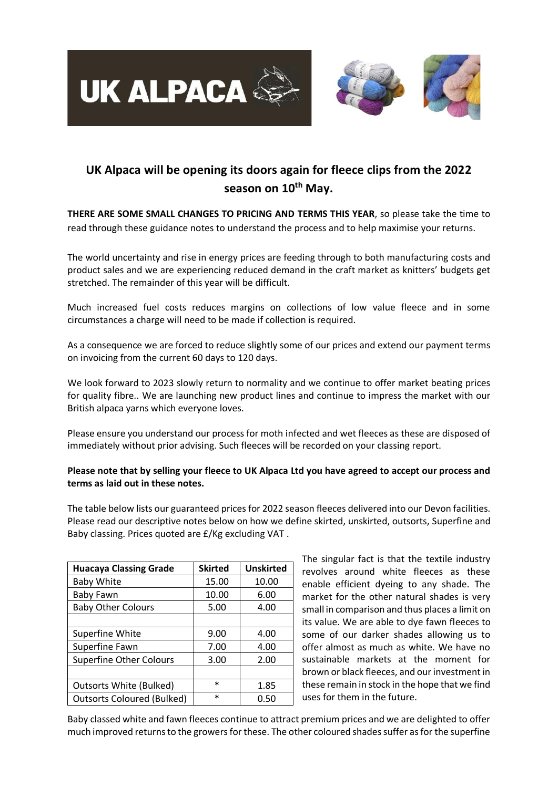

# **UK Alpaca will be opening its doors again for fleece clips from the 2022 season on 10th May.**

**THERE ARE SOME SMALL CHANGES TO PRICING AND TERMS THIS YEAR**, so please take the time to read through these guidance notes to understand the process and to help maximise your returns.

The world uncertainty and rise in energy prices are feeding through to both manufacturing costs and product sales and we are experiencing reduced demand in the craft market as knitters' budgets get stretched. The remainder of this year will be difficult.

Much increased fuel costs reduces margins on collections of low value fleece and in some circumstances a charge will need to be made if collection is required.

As a consequence we are forced to reduce slightly some of our prices and extend our payment terms on invoicing from the current 60 days to 120 days.

We look forward to 2023 slowly return to normality and we continue to offer market beating prices for quality fibre.. We are launching new product lines and continue to impress the market with our British alpaca yarns which everyone loves.

Please ensure you understand our process for moth infected and wet fleeces as these are disposed of immediately without prior advising. Such fleeces will be recorded on your classing report.

#### **Please note that by selling your fleece to UK Alpaca Ltd you have agreed to accept our process and terms as laid out in these notes.**

The table below lists our guaranteed prices for 2022 season fleeces delivered into our Devon facilities. Please read our descriptive notes below on how we define skirted, unskirted, outsorts, Superfine and Baby classing. Prices quoted are £/Kg excluding VAT .

| <b>Huacaya Classing Grade</b>     | <b>Skirted</b> | <b>Unskirted</b> |
|-----------------------------------|----------------|------------------|
| <b>Baby White</b>                 | 15.00          | 10.00            |
| Baby Fawn                         | 10.00          | 6.00             |
| <b>Baby Other Colours</b>         | 5.00           | 4.00             |
|                                   |                |                  |
| <b>Superfine White</b>            | 9.00           | 4.00             |
| Superfine Fawn                    | 7.00           | 4.00             |
| <b>Superfine Other Colours</b>    | 3.00           | 2.00             |
|                                   |                |                  |
| <b>Outsorts White (Bulked)</b>    | $\ast$         | 1.85             |
| <b>Outsorts Coloured (Bulked)</b> | $\ast$         | 0.50             |

The singular fact is that the textile industry revolves around white fleeces as these enable efficient dyeing to any shade. The market for the other natural shades is very small in comparison and thus places a limit on its value. We are able to dye fawn fleeces to some of our darker shades allowing us to offer almost as much as white. We have no sustainable markets at the moment for brown or black fleeces, and our investment in these remain in stock in the hope that we find uses for them in the future.

Baby classed white and fawn fleeces continue to attract premium prices and we are delighted to offer much improved returns to the growers for these. The other coloured shades suffer as for the superfine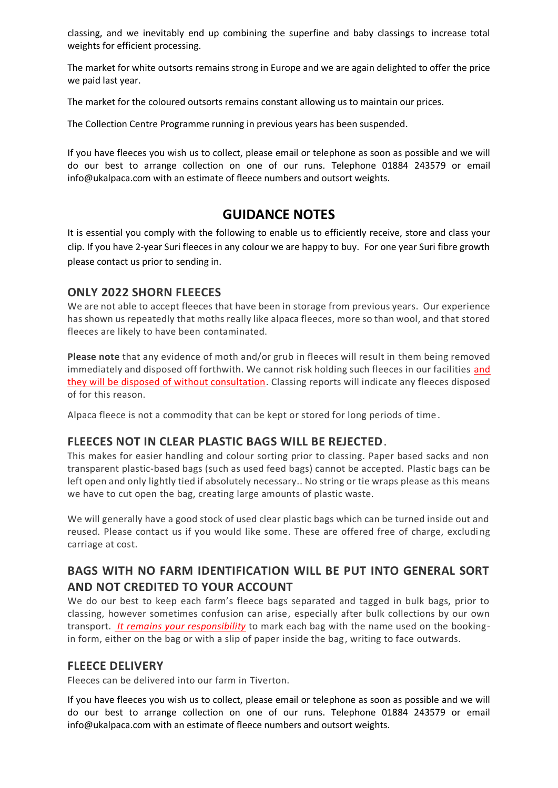classing, and we inevitably end up combining the superfine and baby classings to increase total weights for efficient processing.

The market for white outsorts remains strong in Europe and we are again delighted to offer the price we paid last year.

The market for the coloured outsorts remains constant allowing us to maintain our prices.

The Collection Centre Programme running in previous years has been suspended.

If you have fleeces you wish us to collect, please email or telephone as soon as possible and we will do our best to arrange collection on one of our runs. Telephone 01884 243579 or email [info@ukalpaca.com](mailto:info@ukalpaca.com) with an estimate of fleece numbers and outsort weights.

# **GUIDANCE NOTES**

It is essential you comply with the following to enable us to efficiently receive, store and class your clip. If you have 2-year Suri fleeces in any colour we are happy to buy. For one year Suri fibre growth please contact us prior to sending in.

### **ONLY 2022 SHORN FLEECES**

We are not able to accept fleeces that have been in storage from previous years. Our experience has shown us repeatedly that moths really like alpaca fleeces, more so than wool, and that stored fleeces are likely to have been contaminated.

**Please note** that any evidence of moth and/or grub in fleeces will result in them being removed immediately and disposed off forthwith. We cannot risk holding such fleeces in our facilities and they will be disposed of without consultation. Classing reports will indicate any fleeces disposed of for this reason.

Alpaca fleece is not a commodity that can be kept or stored for long periods of time .

#### **FLEECES NOT IN CLEAR PLASTIC BAGS WILL BE REJECTED**.

This makes for easier handling and colour sorting prior to classing. Paper based sacks and non transparent plastic-based bags (such as used feed bags) cannot be accepted. Plastic bags can be left open and only lightly tied if absolutely necessary.. No string or tie wraps please as this means we have to cut open the bag, creating large amounts of plastic waste.

We will generally have a good stock of used clear plastic bags which can be turned inside out and reused. Please contact us if you would like some. These are offered free of charge, excludi ng carriage at cost.

## **BAGS WITH NO FARM IDENTIFICATION WILL BE PUT INTO GENERAL SORT AND NOT CREDITED TO YOUR ACCOUNT**

We do our best to keep each farm's fleece bags separated and tagged in bulk bags, prior to classing, however sometimes confusion can arise, especially after bulk collections by our own transport. *It remains your responsibility* to mark each bag with the name used on the bookingin form, either on the bag or with a slip of paper inside the bag, writing to face outwards.

#### **FLEECE DELIVERY**

Fleeces can be delivered into our farm in Tiverton.

If you have fleeces you wish us to collect, please email or telephone as soon as possible and we will do our best to arrange collection on one of our runs. Telephone 01884 243579 or email [info@ukalpaca.com](mailto:info@ukalpaca.com) with an estimate of fleece numbers and outsort weights.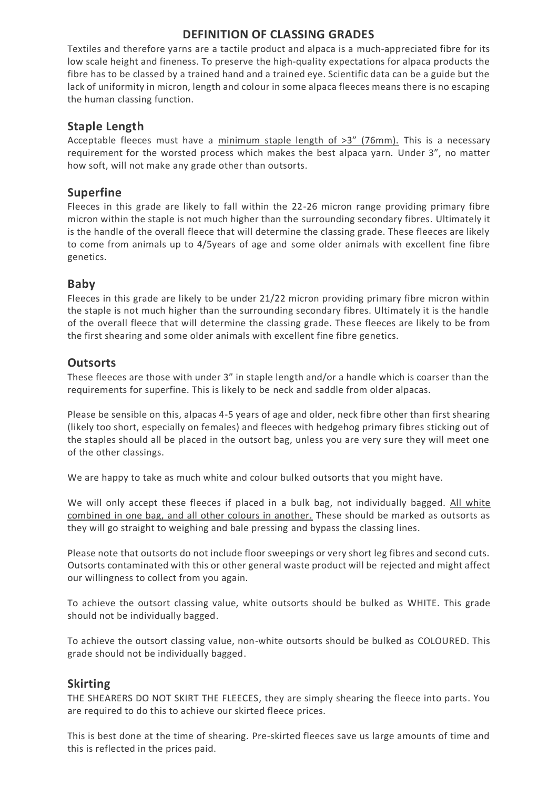## **DEFINITION OF CLASSING GRADES**

Textiles and therefore yarns are a tactile product and alpaca is a much-appreciated fibre for its low scale height and fineness. To preserve the high-quality expectations for alpaca products the fibre has to be classed by a trained hand and a trained eye. Scientific data can be a guide but the lack of uniformity in micron, length and colour in some alpaca fleeces means there is no escaping the human classing function.

## **Staple Length**

Acceptable fleeces must have a minimum staple length of >3" (76mm). This is a necessary requirement for the worsted process which makes the best alpaca yarn. Under 3", no matter how soft, will not make any grade other than outsorts.

### **Superfine**

Fleeces in this grade are likely to fall within the 22-26 micron range providing primary fibre micron within the staple is not much higher than the surrounding secondary fibres. Ultimately it is the handle of the overall fleece that will determine the classing grade. These fleeces are likely to come from animals up to 4/5years of age and some older animals with excellent fine fibre genetics.

## **Baby**

Fleeces in this grade are likely to be under 21/22 micron providing primary fibre micron within the staple is not much higher than the surrounding secondary fibres. Ultimately it is the handle of the overall fleece that will determine the classing grade. These fleeces are likely to be from the first shearing and some older animals with excellent fine fibre genetics.

## **Outsorts**

These fleeces are those with under 3" in staple length and/or a handle which is coarser than the requirements for superfine. This is likely to be neck and saddle from older alpacas.

Please be sensible on this, alpacas 4-5 years of age and older, neck fibre other than first shearing (likely too short, especially on females) and fleeces with hedgehog primary fibres sticking out of the staples should all be placed in the outsort bag, unless you are very sure they will meet one of the other classings.

We are happy to take as much white and colour bulked outsorts that you might have.

We will only accept these fleeces if placed in a bulk bag, not individually bagged. All white combined in one bag, and all other colours in another. These should be marked as outsorts as they will go straight to weighing and bale pressing and bypass the classing lines.

Please note that outsorts do not include floor sweepings or very short leg fibres and second cuts. Outsorts contaminated with this or other general waste product will be rejected and might affect our willingness to collect from you again.

To achieve the outsort classing value, white outsorts should be bulked as WHITE. This grade should not be individually bagged.

To achieve the outsort classing value, non-white outsorts should be bulked as COLOURED. This grade should not be individually bagged.

## **Skirting**

THE SHEARERS DO NOT SKIRT THE FLEECES, they are simply shearing the fleece into parts. You are required to do this to achieve our skirted fleece prices.

This is best done at the time of shearing. Pre-skirted fleeces save us large amounts of time and this is reflected in the prices paid.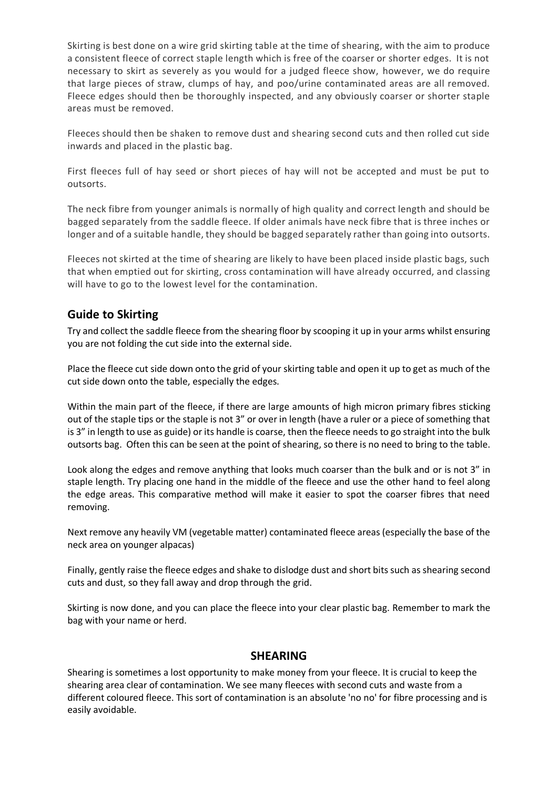Skirting is best done on a wire grid skirting table at the time of shearing, with the aim to produce a consistent fleece of correct staple length which is free of the coarser or shorter edges. It is not necessary to skirt as severely as you would for a judged fleece show, however, we do require that large pieces of straw, clumps of hay, and poo/urine contaminated areas are all removed. Fleece edges should then be thoroughly inspected, and any obviously coarser or shorter staple areas must be removed.

Fleeces should then be shaken to remove dust and shearing second cuts and then rolled cut side inwards and placed in the plastic bag.

First fleeces full of hay seed or short pieces of hay will not be accepted and must be put to outsorts.

The neck fibre from younger animals is normally of high quality and correct length and should be bagged separately from the saddle fleece. If older animals have neck fibre that is three inches or longer and of a suitable handle, they should be bagged separately rather than going into outsorts.

Fleeces not skirted at the time of shearing are likely to have been placed inside plastic bags, such that when emptied out for skirting, cross contamination will have already occurred, and classing will have to go to the lowest level for the contamination.

### **Guide to Skirting**

Try and collect the saddle fleece from the shearing floor by scooping it up in your arms whilst ensuring you are not folding the cut side into the external side.

Place the fleece cut side down onto the grid of your skirting table and open it up to get as much of the cut side down onto the table, especially the edges.

Within the main part of the fleece, if there are large amounts of high micron primary fibres sticking out of the staple tips or the staple is not 3" or over in length (have a ruler or a piece of something that is 3" in length to use as guide) or its handle is coarse, then the fleece needs to go straight into the bulk outsorts bag. Often this can be seen at the point of shearing, so there is no need to bring to the table.

Look along the edges and remove anything that looks much coarser than the bulk and or is not 3" in staple length. Try placing one hand in the middle of the fleece and use the other hand to feel along the edge areas. This comparative method will make it easier to spot the coarser fibres that need removing.

Next remove any heavily VM (vegetable matter) contaminated fleece areas (especially the base of the neck area on younger alpacas)

Finally, gently raise the fleece edges and shake to dislodge dust and short bits such as shearing second cuts and dust, so they fall away and drop through the grid.

Skirting is now done, and you can place the fleece into your clear plastic bag. Remember to mark the bag with your name or herd.

#### **SHEARING**

Shearing is sometimes a lost opportunity to make money from your fleece. It is crucial to keep the shearing area clear of contamination. We see many fleeces with second cuts and waste from a different coloured fleece. This sort of contamination is an absolute 'no no' for fibre processing and is easily avoidable.